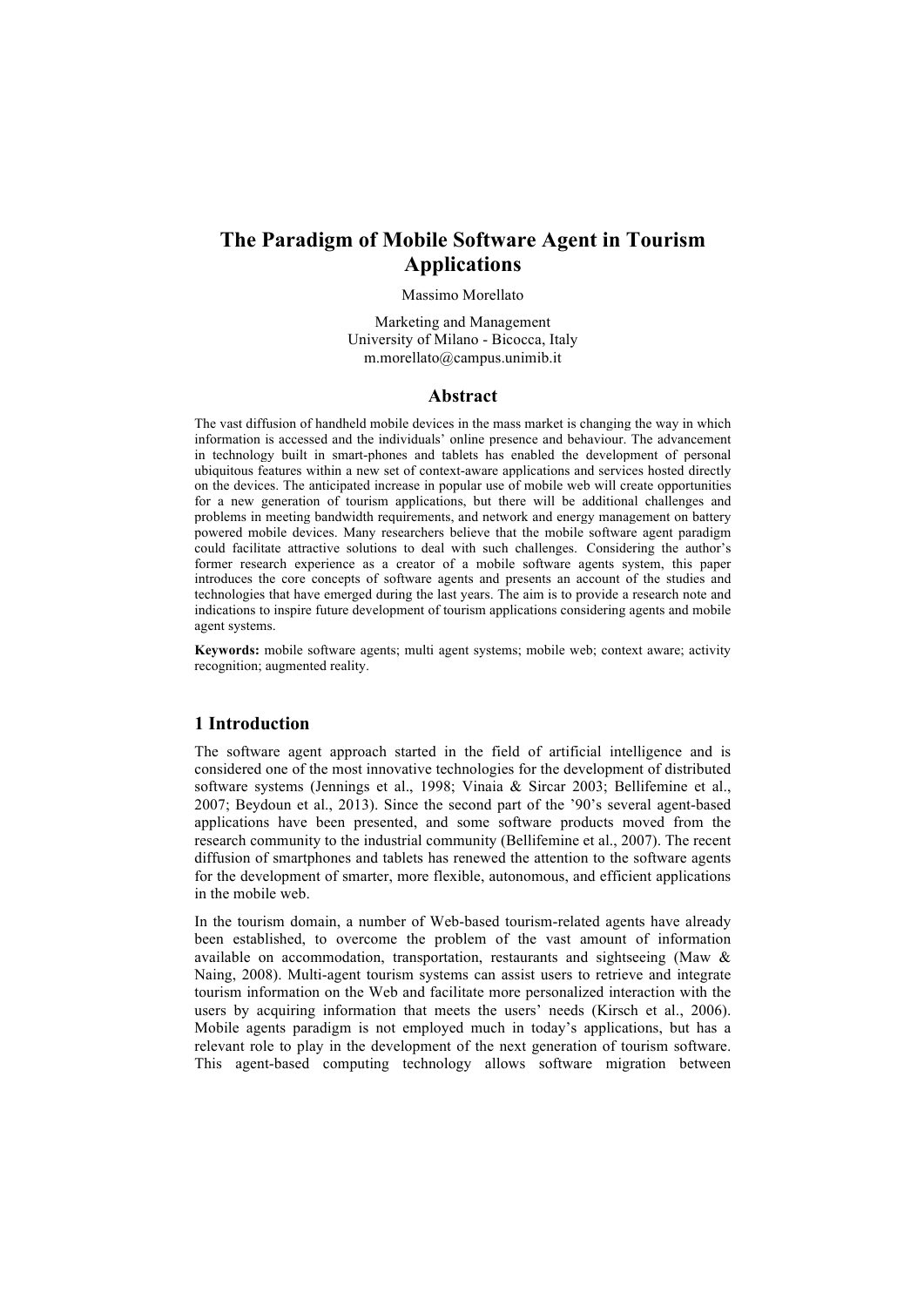# **The Paradigm of Mobile Software Agent in Tourism Applications**

#### Massimo Morellato

Marketing and Management University of Milano - Bicocca, Italy m.morellato@campus.unimib.it

### **Abstract**

The vast diffusion of handheld mobile devices in the mass market is changing the way in which information is accessed and the individuals' online presence and behaviour. The advancement in technology built in smart-phones and tablets has enabled the development of personal ubiquitous features within a new set of context-aware applications and services hosted directly on the devices. The anticipated increase in popular use of mobile web will create opportunities for a new generation of tourism applications, but there will be additional challenges and problems in meeting bandwidth requirements, and network and energy management on battery powered mobile devices. Many researchers believe that the mobile software agent paradigm could facilitate attractive solutions to deal with such challenges. Considering the author's former research experience as a creator of a mobile software agents system, this paper introduces the core concepts of software agents and presents an account of the studies and technologies that have emerged during the last years. The aim is to provide a research note and indications to inspire future development of tourism applications considering agents and mobile agent systems.

**Keywords:** mobile software agents; multi agent systems; mobile web; context aware; activity recognition; augmented reality.

# **1 Introduction**

The software agent approach started in the field of artificial intelligence and is considered one of the most innovative technologies for the development of distributed software systems (Jennings et al., 1998; Vinaia & Sircar 2003; Bellifemine et al., 2007; Beydoun et al., 2013). Since the second part of the '90's several agent-based applications have been presented, and some software products moved from the research community to the industrial community (Bellifemine et al., 2007). The recent diffusion of smartphones and tablets has renewed the attention to the software agents for the development of smarter, more flexible, autonomous, and efficient applications in the mobile web.

In the tourism domain, a number of Web-based tourism-related agents have already been established, to overcome the problem of the vast amount of information available on accommodation, transportation, restaurants and sightseeing (Maw & Naing, 2008). Multi-agent tourism systems can assist users to retrieve and integrate tourism information on the Web and facilitate more personalized interaction with the users by acquiring information that meets the users' needs (Kirsch et al., 2006). Mobile agents paradigm is not employed much in today's applications, but has a relevant role to play in the development of the next generation of tourism software. This agent-based computing technology allows software migration between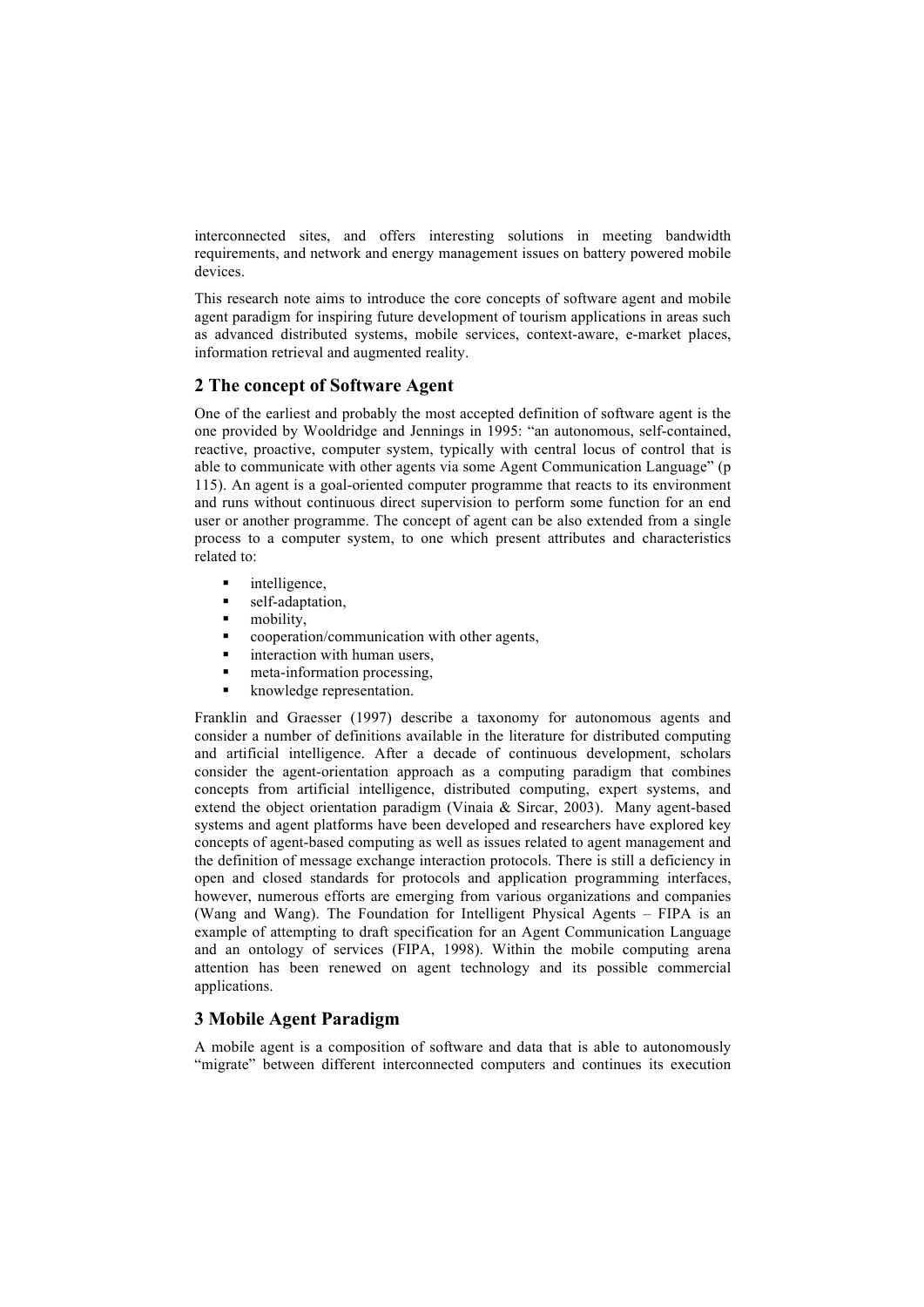interconnected sites, and offers interesting solutions in meeting bandwidth requirements, and network and energy management issues on battery powered mobile devices.

This research note aims to introduce the core concepts of software agent and mobile agent paradigm for inspiring future development of tourism applications in areas such as advanced distributed systems, mobile services, context-aware, e-market places, information retrieval and augmented reality.

# **2 The concept of Software Agent**

One of the earliest and probably the most accepted definition of software agent is the one provided by Wooldridge and Jennings in 1995: "an autonomous, self-contained, reactive, proactive, computer system, typically with central locus of control that is able to communicate with other agents via some Agent Communication Language" (p 115). An agent is a goal-oriented computer programme that reacts to its environment and runs without continuous direct supervision to perform some function for an end user or another programme. The concept of agent can be also extended from a single process to a computer system, to one which present attributes and characteristics related to:

- intelligence,
- self-adaptation,
- mobility,
- § cooperation/communication with other agents,
- interaction with human users,
- meta-information processing.
- knowledge representation.

Franklin and Graesser (1997) describe a taxonomy for autonomous agents and consider a number of definitions available in the literature for distributed computing and artificial intelligence. After a decade of continuous development, scholars consider the agent-orientation approach as a computing paradigm that combines concepts from artificial intelligence, distributed computing, expert systems, and extend the object orientation paradigm (Vinaia & Sircar, 2003). Many agent-based systems and agent platforms have been developed and researchers have explored key concepts of agent-based computing as well as issues related to agent management and the definition of message exchange interaction protocols. There is still a deficiency in open and closed standards for protocols and application programming interfaces, however, numerous efforts are emerging from various organizations and companies (Wang and Wang). The Foundation for Intelligent Physical Agents – FIPA is an example of attempting to draft specification for an Agent Communication Language and an ontology of services (FIPA, 1998). Within the mobile computing arena attention has been renewed on agent technology and its possible commercial applications.

# **3 Mobile Agent Paradigm**

A mobile agent is a composition of software and data that is able to autonomously "migrate" between different interconnected computers and continues its execution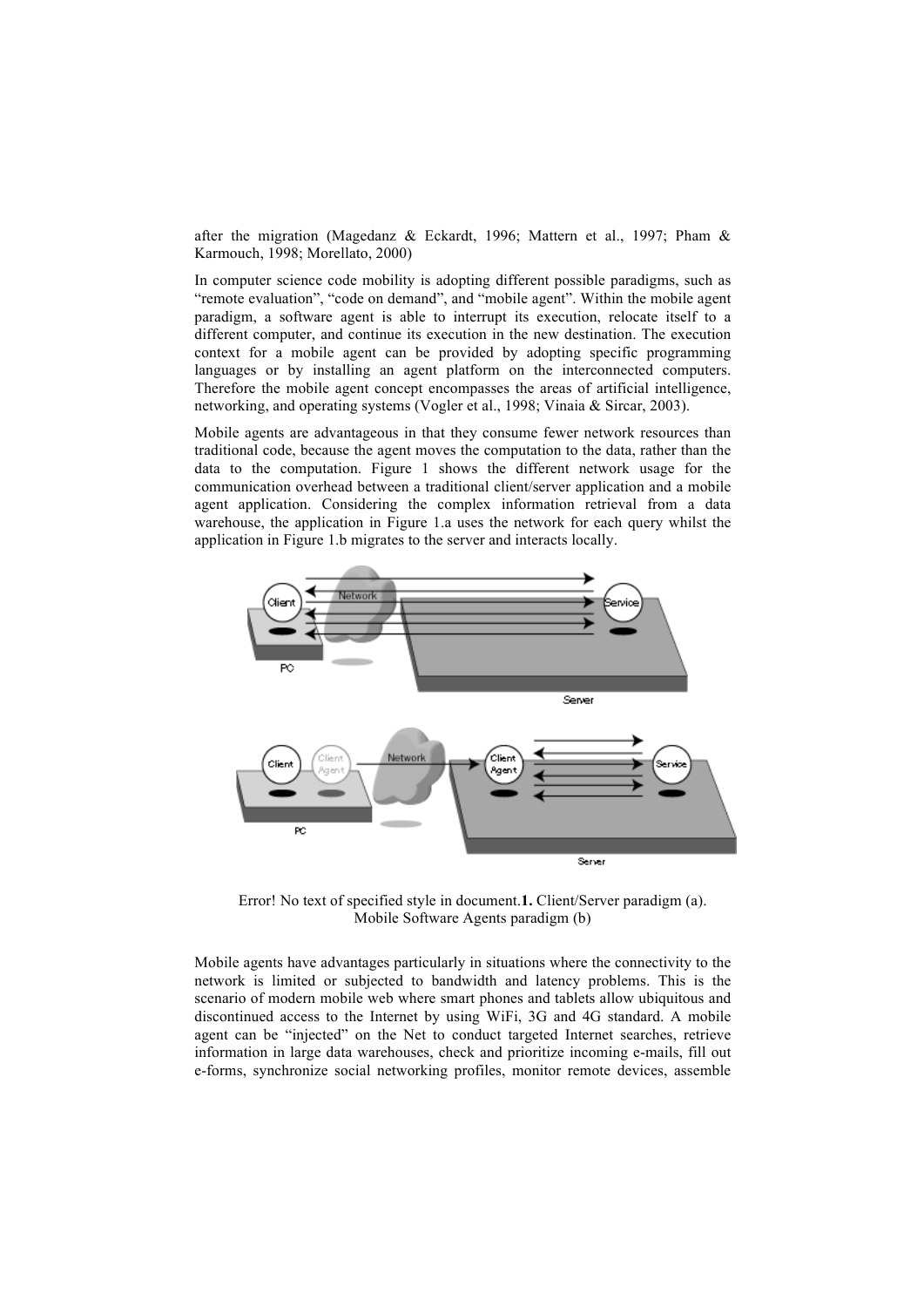after the migration (Magedanz & Eckardt, 1996; Mattern et al., 1997; Pham & Karmouch, 1998; Morellato, 2000)

In computer science code mobility is adopting different possible paradigms, such as "remote evaluation", "code on demand", and "mobile agent". Within the mobile agent paradigm, a software agent is able to interrupt its execution, relocate itself to a different computer, and continue its execution in the new destination. The execution context for a mobile agent can be provided by adopting specific programming languages or by installing an agent platform on the interconnected computers. Therefore the mobile agent concept encompasses the areas of artificial intelligence, networking, and operating systems (Vogler et al., 1998; Vinaia & Sircar, 2003).

Mobile agents are advantageous in that they consume fewer network resources than traditional code, because the agent moves the computation to the data, rather than the data to the computation. Figure 1 shows the different network usage for the communication overhead between a traditional client/server application and a mobile agent application. Considering the complex information retrieval from a data warehouse, the application in Figure 1.a uses the network for each query whilst the application in Figure 1.b migrates to the server and interacts locally.



Error! No text of specified style in document.**1.** Client/Server paradigm (a). Mobile Software Agents paradigm (b)

Mobile agents have advantages particularly in situations where the connectivity to the network is limited or subjected to bandwidth and latency problems. This is the scenario of modern mobile web where smart phones and tablets allow ubiquitous and discontinued access to the Internet by using WiFi, 3G and 4G standard. A mobile agent can be "injected" on the Net to conduct targeted Internet searches, retrieve information in large data warehouses, check and prioritize incoming e-mails, fill out e-forms, synchronize social networking profiles, monitor remote devices, assemble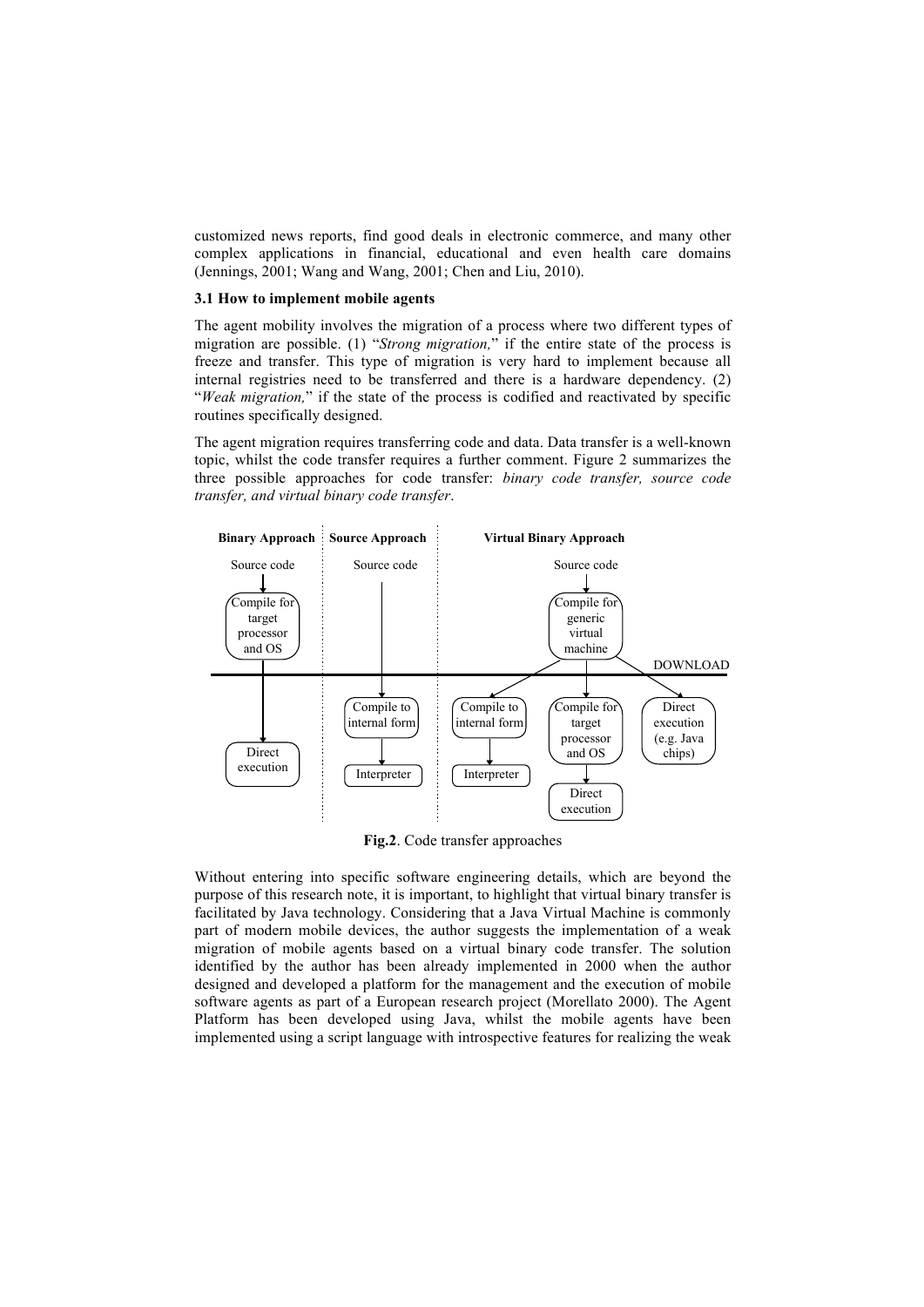customized news reports, find good deals in electronic commerce, and many other complex applications in financial, educational and even health care domains (Jennings, 2001; Wang and Wang, 2001; Chen and Liu, 2010).

### **3.1 How to implement mobile agents**

The agent mobility involves the migration of a process where two different types of migration are possible. (1) "*Strong migration,*" if the entire state of the process is freeze and transfer. This type of migration is very hard to implement because all internal registries need to be transferred and there is a hardware dependency. (2) "*Weak migration,*" if the state of the process is codified and reactivated by specific routines specifically designed.

The agent migration requires transferring code and data. Data transfer is a well-known topic, whilst the code transfer requires a further comment. Figure 2 summarizes the three possible approaches for code transfer: *binary code transfer, source code transfer, and virtual binary code transfer*.



**Fig.2**. Code transfer approaches

Without entering into specific software engineering details, which are beyond the purpose of this research note, it is important, to highlight that virtual binary transfer is facilitated by Java technology. Considering that a Java Virtual Machine is commonly part of modern mobile devices, the author suggests the implementation of a weak migration of mobile agents based on a virtual binary code transfer. The solution identified by the author has been already implemented in 2000 when the author designed and developed a platform for the management and the execution of mobile software agents as part of a European research project (Morellato 2000). The Agent Platform has been developed using Java, whilst the mobile agents have been implemented using a script language with introspective features for realizing the weak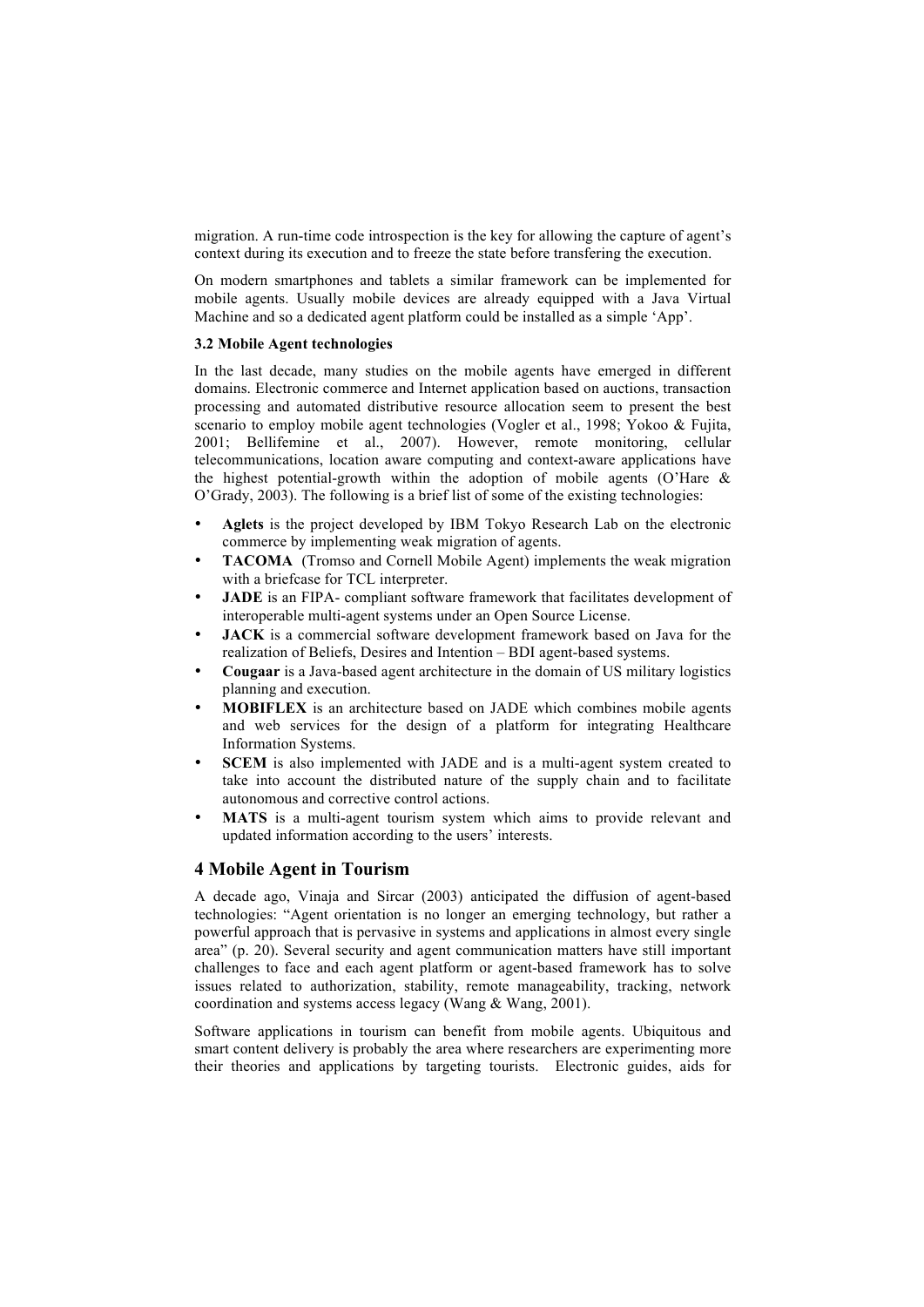migration. A run-time code introspection is the key for allowing the capture of agent's context during its execution and to freeze the state before transfering the execution.

On modern smartphones and tablets a similar framework can be implemented for mobile agents. Usually mobile devices are already equipped with a Java Virtual Machine and so a dedicated agent platform could be installed as a simple 'App'.

### **3.2 Mobile Agent technologies**

In the last decade, many studies on the mobile agents have emerged in different domains. Electronic commerce and Internet application based on auctions, transaction processing and automated distributive resource allocation seem to present the best scenario to employ mobile agent technologies (Vogler et al., 1998; Yokoo & Fujita, 2001; Bellifemine et al., 2007). However, remote monitoring, cellular telecommunications, location aware computing and context-aware applications have the highest potential-growth within the adoption of mobile agents (O'Hare & O'Grady, 2003). The following is a brief list of some of the existing technologies:

- **Aglets** is the project developed by IBM Tokyo Research Lab on the electronic commerce by implementing weak migration of agents.
- **TACOMA** (Tromso and Cornell Mobile Agent) implements the weak migration with a briefcase for TCL interpreter.
- **JADE** is an FIPA- compliant software framework that facilitates development of interoperable multi-agent systems under an Open Source License.
- **JACK** is a commercial software development framework based on Java for the realization of Beliefs, Desires and Intention – BDI agent-based systems.
- **Cougaar** is a Java-based agent architecture in the domain of US military logistics planning and execution.
- **MOBIFLEX** is an architecture based on JADE which combines mobile agents and web services for the design of a platform for integrating Healthcare Information Systems.
- **SCEM** is also implemented with JADE and is a multi-agent system created to take into account the distributed nature of the supply chain and to facilitate autonomous and corrective control actions.
- MATS is a multi-agent tourism system which aims to provide relevant and updated information according to the users' interests.

# **4 Mobile Agent in Tourism**

A decade ago, Vinaja and Sircar (2003) anticipated the diffusion of agent-based technologies: "Agent orientation is no longer an emerging technology, but rather a powerful approach that is pervasive in systems and applications in almost every single area" (p. 20). Several security and agent communication matters have still important challenges to face and each agent platform or agent-based framework has to solve issues related to authorization, stability, remote manageability, tracking, network coordination and systems access legacy (Wang & Wang, 2001).

Software applications in tourism can benefit from mobile agents. Ubiquitous and smart content delivery is probably the area where researchers are experimenting more their theories and applications by targeting tourists. Electronic guides, aids for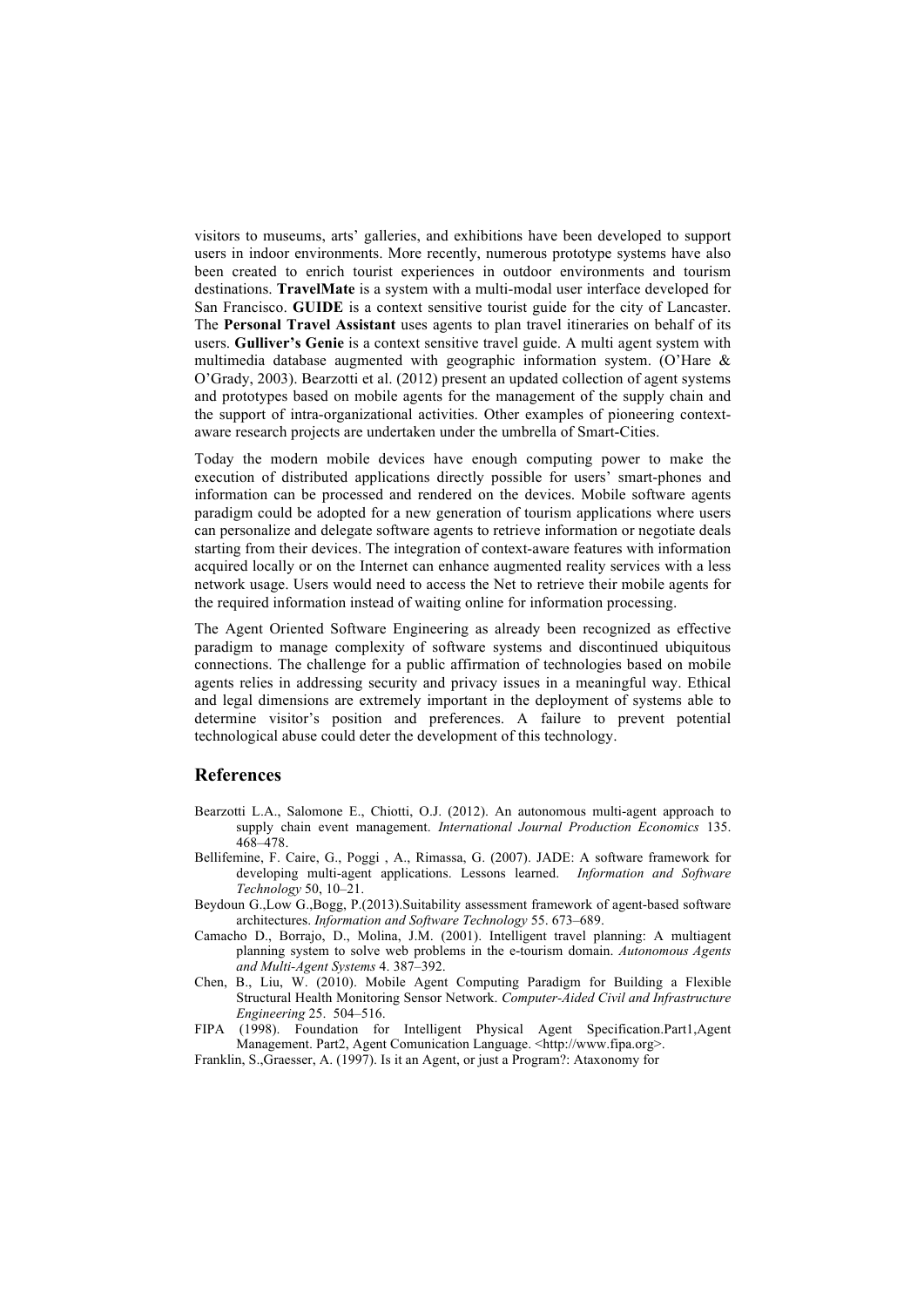visitors to museums, arts' galleries, and exhibitions have been developed to support users in indoor environments. More recently, numerous prototype systems have also been created to enrich tourist experiences in outdoor environments and tourism destinations. **TravelMate** is a system with a multi-modal user interface developed for San Francisco. **GUIDE** is a context sensitive tourist guide for the city of Lancaster. The **Personal Travel Assistant** uses agents to plan travel itineraries on behalf of its users. **Gulliver's Genie** is a context sensitive travel guide. A multi agent system with multimedia database augmented with geographic information system. (O'Hare & O'Grady, 2003). Bearzotti et al. (2012) present an updated collection of agent systems and prototypes based on mobile agents for the management of the supply chain and the support of intra-organizational activities. Other examples of pioneering contextaware research projects are undertaken under the umbrella of Smart-Cities.

Today the modern mobile devices have enough computing power to make the execution of distributed applications directly possible for users' smart-phones and information can be processed and rendered on the devices. Mobile software agents paradigm could be adopted for a new generation of tourism applications where users can personalize and delegate software agents to retrieve information or negotiate deals starting from their devices. The integration of context-aware features with information acquired locally or on the Internet can enhance augmented reality services with a less network usage. Users would need to access the Net to retrieve their mobile agents for the required information instead of waiting online for information processing.

The Agent Oriented Software Engineering as already been recognized as effective paradigm to manage complexity of software systems and discontinued ubiquitous connections. The challenge for a public affirmation of technologies based on mobile agents relies in addressing security and privacy issues in a meaningful way. Ethical and legal dimensions are extremely important in the deployment of systems able to determine visitor's position and preferences. A failure to prevent potential technological abuse could deter the development of this technology.

# **References**

- Bearzotti L.A., Salomone E., Chiotti, O.J. (2012). An autonomous multi-agent approach to supply chain event management. *International Journal Production Economics* 135. 468–478.
- Bellifemine, F. Caire, G., Poggi , A., Rimassa, G. (2007). JADE: A software framework for developing multi-agent applications. Lessons learned. *Information and Software Technology* 50, 10–21.
- Beydoun G.,Low G.,Bogg, P.(2013).Suitability assessment framework of agent-based software architectures. *Information and Software Technology* 55. 673–689.
- Camacho D., Borrajo, D., Molina, J.M. (2001). Intelligent travel planning: A multiagent planning system to solve web problems in the e-tourism domain. *Autonomous Agents and Multi-Agent Systems* 4. 387–392.
- Chen, B., Liu, W. (2010). Mobile Agent Computing Paradigm for Building a Flexible Structural Health Monitoring Sensor Network. *Computer-Aided Civil and Infrastructure Engineering* 25. 504–516.
- FIPA (1998). Foundation for Intelligent Physical Agent Specification.Part1,Agent Management. Part2, Agent Comunication Language. <http://www.fipa.org>.

Franklin, S.,Graesser, A. (1997). Is it an Agent, or just a Program?: Ataxonomy for